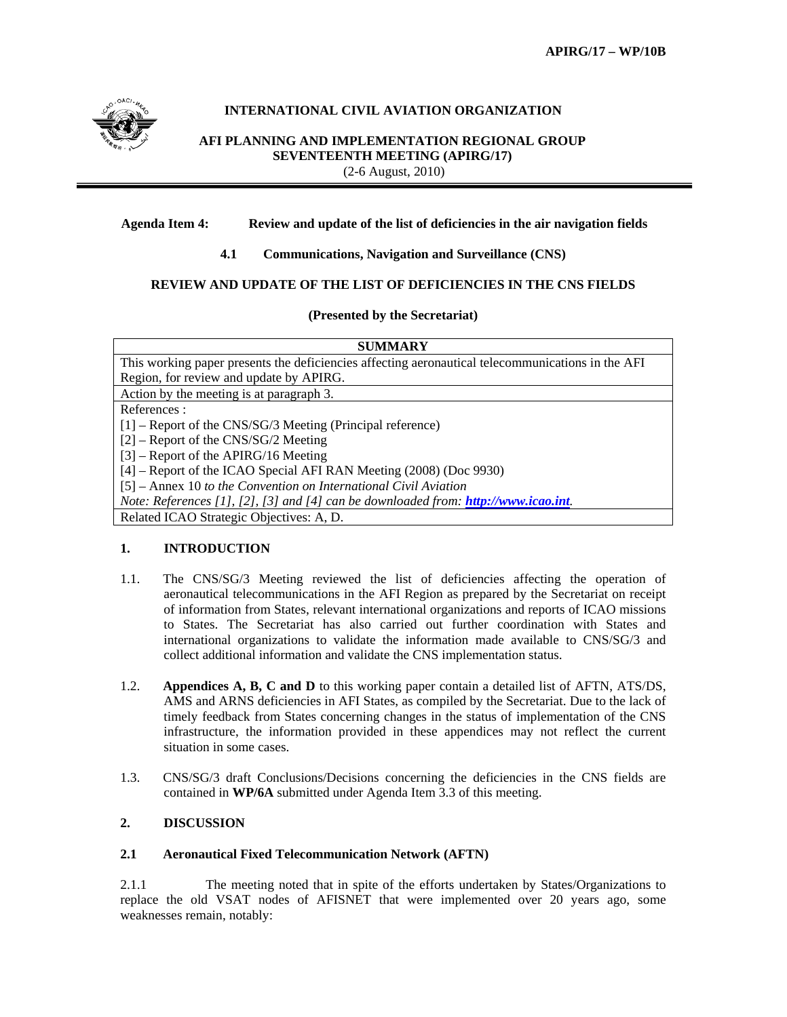

## **INTERNATIONAL CIVIL AVIATION ORGANIZATION**

**AFI PLANNING AND IMPLEMENTATION REGIONAL GROUP SEVENTEENTH MEETING (APIRG/17)** (2-6 August, 2010)

### **Agenda Item 4: Review and update of the list of deficiencies in the air navigation fields**

### **4.1 Communications, Navigation and Surveillance (CNS)**

### **REVIEW AND UPDATE OF THE LIST OF DEFICIENCIES IN THE CNS FIELDS**

### **(Presented by the Secretariat)**

| SUMMARY |  |
|---------|--|
|---------|--|

This working paper presents the deficiencies affecting aeronautical telecommunications in the AFI Region, for review and update by APIRG.

Action by the meeting is at paragraph 3.

References :

[1] – Report of the CNS/SG/3 Meeting (Principal reference)

[2] – Report of the CNS/SG/2 Meeting

[3] – Report of the APIRG/16 Meeting

[4] – Report of the ICAO Special AFI RAN Meeting (2008) (Doc 9930)

[5] – Annex 10 *to the Convention on International Civil Aviation*

*Note: References [1], [2], [3] and [4] can be downloaded from: http://www.icao.int.*

Related ICAO Strategic Objectives: A, D.

### **1. INTRODUCTION**

- 1.1. The CNS/SG/3 Meeting reviewed the list of deficiencies affecting the operation of aeronautical telecommunications in the AFI Region as prepared by the Secretariat on receipt of information from States, relevant international organizations and reports of ICAO missions to States. The Secretariat has also carried out further coordination with States and international organizations to validate the information made available to CNS/SG/3 and collect additional information and validate the CNS implementation status.
- 1.2. **Appendices A, B, C and D** to this working paper contain a detailed list of AFTN, ATS/DS, AMS and ARNS deficiencies in AFI States, as compiled by the Secretariat. Due to the lack of timely feedback from States concerning changes in the status of implementation of the CNS infrastructure, the information provided in these appendices may not reflect the current situation in some cases.
- 1.3. CNS/SG/3 draft Conclusions/Decisions concerning the deficiencies in the CNS fields are contained in **WP/6A** submitted under Agenda Item 3.3 of this meeting.

### **2. DISCUSSION**

### **2.1 Aeronautical Fixed Telecommunication Network (AFTN)**

2.1.1 The meeting noted that in spite of the efforts undertaken by States/Organizations to replace the old VSAT nodes of AFISNET that were implemented over 20 years ago, some weaknesses remain, notably: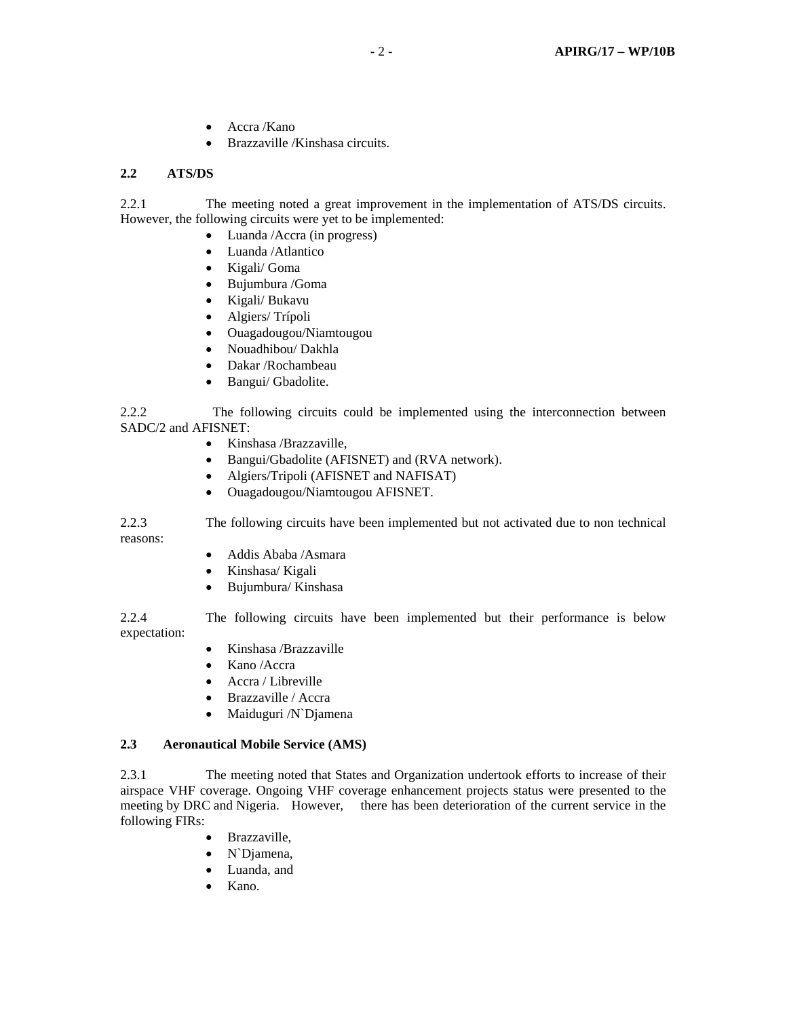- Accra /Kano
- Brazzaville /Kinshasa circuits.

### **2.2 ATS/DS**

2.2.1 The meeting noted a great improvement in the implementation of ATS/DS circuits. However, the following circuits were yet to be implemented:

- Luanda /Accra (in progress)
- Luanda /Atlantico
- Kigali/ Goma
- Bujumbura /Goma
- Kigali/ Bukavu
- Algiers/ Trípoli
- Ouagadougou/Niamtougou
- Nouadhibou/ Dakhla
- Dakar /Rochambeau
- Bangui/ Gbadolite.

2.2.2 The following circuits could be implemented using the interconnection between SADC/2 and AFISNET:

- Kinshasa /Brazzaville,
- Bangui/Gbadolite (AFISNET) and (RVA network).
- Algiers/Tripoli (AFISNET and NAFISAT)
- Ouagadougou/Niamtougou AFISNET.

2.2.3 The following circuits have been implemented but not activated due to non technical reasons:

- Addis Ababa /Asmara
- Kinshasa/ Kigali
- Bujumbura/ Kinshasa

2.2.4 The following circuits have been implemented but their performance is below expectation:

- Kinshasa /Brazzaville
- Kano /Accra
- Accra / Libreville
- Brazzaville / Accra
- Maiduguri /N`Djamena

## **2.3 Aeronautical Mobile Service (AMS)**

2.3.1 The meeting noted that States and Organization undertook efforts to increase of their airspace VHF coverage. Ongoing VHF coverage enhancement projects status were presented to the meeting by DRC and Nigeria. However, there has been deterioration of the current service in the following FIRs:

- Brazzaville,
- N`Djamena,
- Luanda, and
- Kano.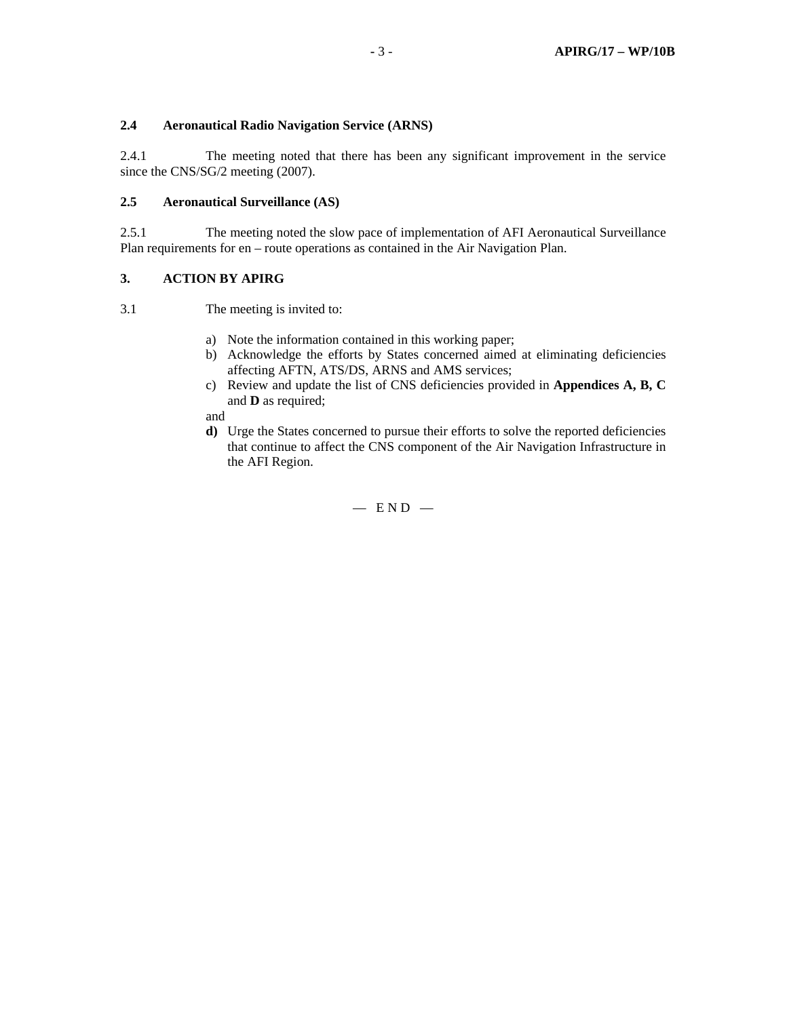### **2.4 Aeronautical Radio Navigation Service (ARNS)**

2.4.1 The meeting noted that there has been any significant improvement in the service since the CNS/SG/2 meeting (2007).

### **2.5 Aeronautical Surveillance (AS)**

2.5.1 The meeting noted the slow pace of implementation of AFI Aeronautical Surveillance Plan requirements for en – route operations as contained in the Air Navigation Plan.

### **3. ACTION BY APIRG**

3.1 The meeting is invited to:

- a) Note the information contained in this working paper;
- b) Acknowledge the efforts by States concerned aimed at eliminating deficiencies affecting AFTN, ATS/DS, ARNS and AMS services;
- c) Review and update the list of CNS deficiencies provided in **Appendices A, B, C**  and **D** as required;

and

**d)** Urge the States concerned to pursue their efforts to solve the reported deficiencies that continue to affect the CNS component of the Air Navigation Infrastructure in the AFI Region.

 $-$  END  $-$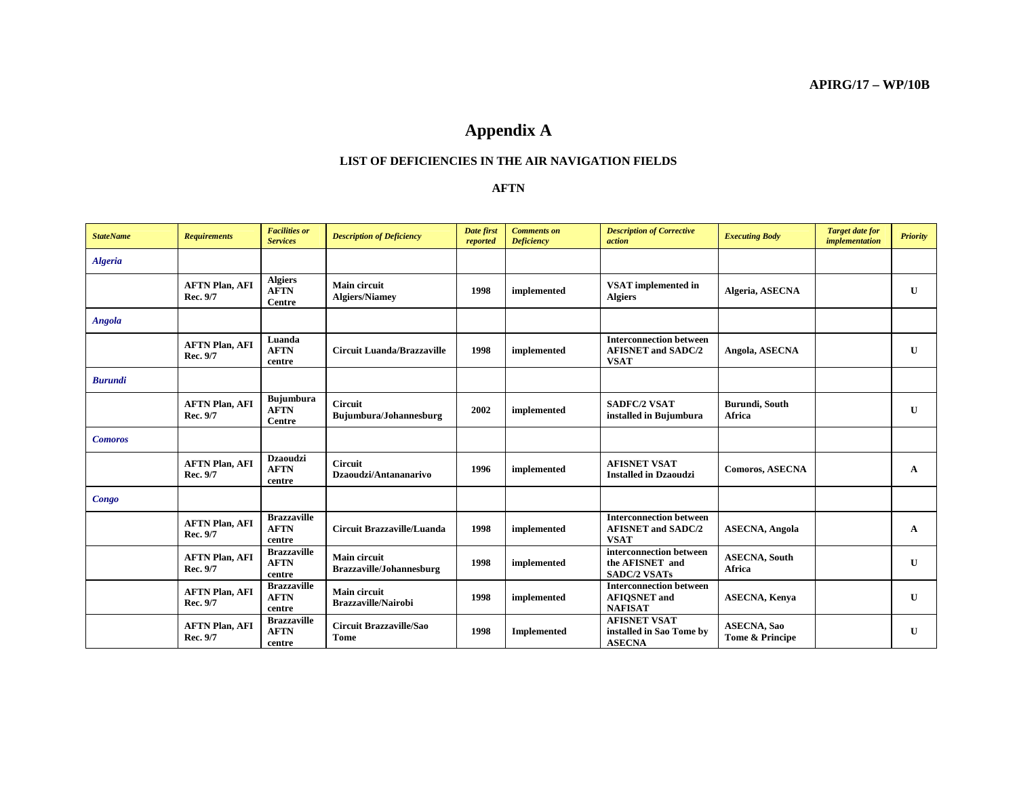# **Appendix A**

### **LIST OF DEFICIENCIES IN THE AIR NAVIGATION FIELDS**

#### **AFTN**

| <b>StateName</b> | <b>Requirements</b>               | <b>Facilities or</b><br><b>Services</b>          | <b>Description of Deficiency</b>                  | Date first<br>reported | <b>Comments</b> on<br><b>Deficiency</b> | <b>Description of Corrective</b><br>action                                 | <b>Executing Body</b>                  | <b>Target date for</b><br><i>implementation</i> | <b>Priority</b> |
|------------------|-----------------------------------|--------------------------------------------------|---------------------------------------------------|------------------------|-----------------------------------------|----------------------------------------------------------------------------|----------------------------------------|-------------------------------------------------|-----------------|
| <b>Algeria</b>   |                                   |                                                  |                                                   |                        |                                         |                                                                            |                                        |                                                 |                 |
|                  | <b>AFTN Plan, AFI</b><br>Rec. 9/7 | <b>Algiers</b><br><b>AFTN</b><br>Centre          | <b>Main circuit</b><br><b>Algiers/Niamev</b>      | 1998                   | implemented                             | <b>VSAT</b> implemented in<br><b>Algiers</b>                               | Algeria, ASECNA                        |                                                 | U               |
| Angola           |                                   |                                                  |                                                   |                        |                                         |                                                                            |                                        |                                                 |                 |
|                  | <b>AFTN Plan, AFI</b><br>Rec. 9/7 | Luanda<br><b>AFTN</b><br>centre                  | <b>Circuit Luanda/Brazzaville</b>                 | 1998                   | implemented                             | <b>Interconnection between</b><br><b>AFISNET and SADC/2</b><br><b>VSAT</b> | Angola, ASECNA                         |                                                 | $\mathbf{U}$    |
| <b>Burundi</b>   |                                   |                                                  |                                                   |                        |                                         |                                                                            |                                        |                                                 |                 |
|                  | <b>AFTN Plan, AFI</b><br>Rec. 9/7 | <b>Bujumbura</b><br><b>AFTN</b><br><b>Centre</b> | <b>Circuit</b><br>Bujumbura/Johannesburg          | 2002                   | implemented                             | <b>SADFC/2 VSAT</b><br>installed in Bujumbura                              | Burundi, South<br>Africa               |                                                 | $\mathbf{I}$    |
| <b>Comoros</b>   |                                   |                                                  |                                                   |                        |                                         |                                                                            |                                        |                                                 |                 |
|                  | <b>AFTN Plan, AFI</b><br>Rec. 9/7 | <b>Dzaoudzi</b><br><b>AFTN</b><br>centre         | <b>Circuit</b><br>Dzaoudzi/Antananarivo           | 1996                   | implemented                             | <b>AFISNET VSAT</b><br><b>Installed in Dzaoudzi</b>                        | <b>Comoros, ASECNA</b>                 |                                                 | $\mathbf{A}$    |
| Congo            |                                   |                                                  |                                                   |                        |                                         |                                                                            |                                        |                                                 |                 |
|                  | <b>AFTN Plan, AFI</b><br>Rec. 9/7 | <b>Brazzaville</b><br><b>AFTN</b><br>centre      | Circuit Brazzaville/Luanda                        | 1998                   | implemented                             | <b>Interconnection between</b><br><b>AFISNET and SADC/2</b><br><b>VSAT</b> | <b>ASECNA</b> , Angola                 |                                                 | $\mathbf{A}$    |
|                  | <b>AFTN Plan, AFI</b><br>Rec. 9/7 | <b>Brazzaville</b><br><b>AFTN</b><br>centre      | <b>Main circuit</b><br>Brazzaville/Johannesburg   | 1998                   | implemented                             | interconnection between<br>the AFISNET and<br><b>SADC/2 VSATs</b>          | <b>ASECNA</b> , South<br>Africa        |                                                 | $\mathbf{U}$    |
|                  | <b>AFTN Plan, AFI</b><br>Rec. 9/7 | <b>Brazzaville</b><br><b>AFTN</b><br>centre      | <b>Main circuit</b><br><b>Brazzaville/Nairobi</b> | 1998                   | implemented                             | <b>Interconnection between</b><br><b>AFIQSNET</b> and<br><b>NAFISAT</b>    | <b>ASECNA</b> , Kenya                  |                                                 | $\mathbf{U}$    |
|                  | <b>AFTN Plan, AFI</b><br>Rec. 9/7 | <b>Brazzaville</b><br><b>AFTN</b><br>centre      | <b>Circuit Brazzaville/Sao</b><br>Tome            | 1998                   | Implemented                             | <b>AFISNET VSAT</b><br>installed in Sao Tome by<br><b>ASECNA</b>           | <b>ASECNA</b> , Sao<br>Tome & Principe |                                                 | $\mathbf{U}$    |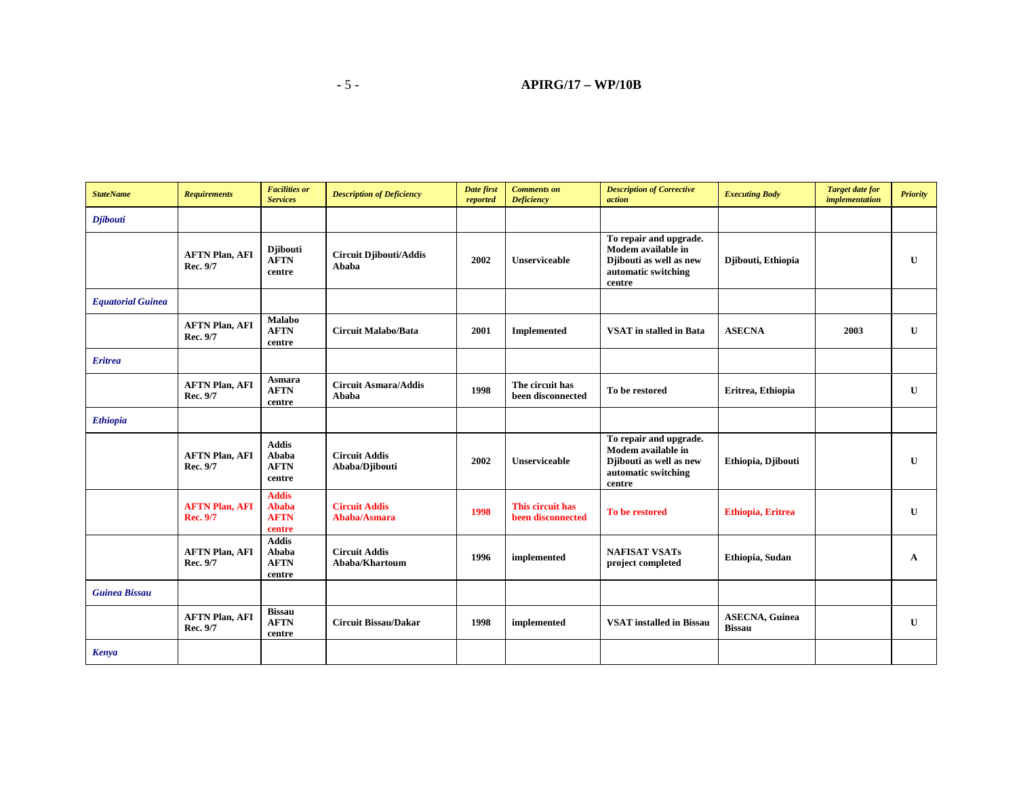| <b>StateName</b>         | <b>Requirements</b>               | <b>Facilities or</b><br><b>Services</b>               | <b>Description of Deficiency</b>       | Date first<br>reported | <b>Comments on</b><br><b>Deficiency</b> | <b>Description of Corrective</b><br>action                                                               | <b>Executing Body</b>                   | <b>Target date for</b><br>implementation | <b>Priority</b> |
|--------------------------|-----------------------------------|-------------------------------------------------------|----------------------------------------|------------------------|-----------------------------------------|----------------------------------------------------------------------------------------------------------|-----------------------------------------|------------------------------------------|-----------------|
| <b>Djibouti</b>          |                                   |                                                       |                                        |                        |                                         |                                                                                                          |                                         |                                          |                 |
|                          | <b>AFTN Plan, AFI</b><br>Rec. 9/7 | <b>Djibouti</b><br><b>AFTN</b><br>centre              | <b>Circuit Djibouti/Addis</b><br>Ababa | 2002                   | <b>Unserviceable</b>                    | To repair and upgrade.<br>Modem available in<br>Djibouti as well as new<br>automatic switching<br>centre | Djibouti, Ethiopia                      |                                          | U               |
| <b>Equatorial Guinea</b> |                                   |                                                       |                                        |                        |                                         |                                                                                                          |                                         |                                          |                 |
|                          | <b>AFTN Plan, AFI</b><br>Rec. 9/7 | <b>Malabo</b><br><b>AFTN</b><br>centre                | <b>Circuit Malabo/Bata</b>             | 2001                   | <b>Implemented</b>                      | <b>VSAT</b> in stalled in Bata                                                                           | <b>ASECNA</b>                           | 2003                                     | U               |
| <b>Eritrea</b>           |                                   |                                                       |                                        |                        |                                         |                                                                                                          |                                         |                                          |                 |
|                          | <b>AFTN Plan, AFI</b><br>Rec. 9/7 | Asmara<br><b>AFTN</b><br>centre                       | <b>Circuit Asmara/Addis</b><br>Ababa   | 1998                   | The circuit has<br>been disconnected    | To be restored                                                                                           | Eritrea, Ethiopia                       |                                          | U               |
| <b>Ethiopia</b>          |                                   |                                                       |                                        |                        |                                         |                                                                                                          |                                         |                                          |                 |
|                          | <b>AFTN Plan, AFI</b><br>Rec. 9/7 | <b>Addis</b><br>Ababa<br><b>AFTN</b><br>centre        | <b>Circuit Addis</b><br>Ababa/Djibouti | 2002                   | <b>Unserviceable</b>                    | To repair and upgrade.<br>Modem available in<br>Djibouti as well as new<br>automatic switching<br>centre | Ethiopia, Djibouti                      |                                          | U               |
|                          | <b>AFTN Plan, AFI</b><br>Rec. 9/7 | <b>Addis</b><br><b>Ababa</b><br><b>AFTN</b><br>centre | <b>Circuit Addis</b><br>Ababa/Asmara   | 1998                   | This circuit has<br>been disconnected   | To be restored                                                                                           | <b>Ethiopia</b> , Eritrea               |                                          | U               |
|                          | <b>AFTN Plan, AFI</b><br>Rec. 9/7 | <b>Addis</b><br>Ababa<br><b>AFTN</b><br>centre        | <b>Circuit Addis</b><br>Ababa/Khartoum | 1996                   | implemented                             | <b>NAFISAT VSATs</b><br>project completed                                                                | Ethiopia, Sudan                         |                                          | $\mathbf A$     |
| <b>Guinea Bissau</b>     |                                   |                                                       |                                        |                        |                                         |                                                                                                          |                                         |                                          |                 |
|                          | <b>AFTN Plan, AFI</b><br>Rec. 9/7 | <b>Bissau</b><br><b>AFTN</b><br>centre                | <b>Circuit Bissau/Dakar</b>            | 1998                   | implemented                             | <b>VSAT</b> installed in Bissau                                                                          | <b>ASECNA</b> , Guinea<br><b>Bissau</b> |                                          | U               |
| Kenya                    |                                   |                                                       |                                        |                        |                                         |                                                                                                          |                                         |                                          |                 |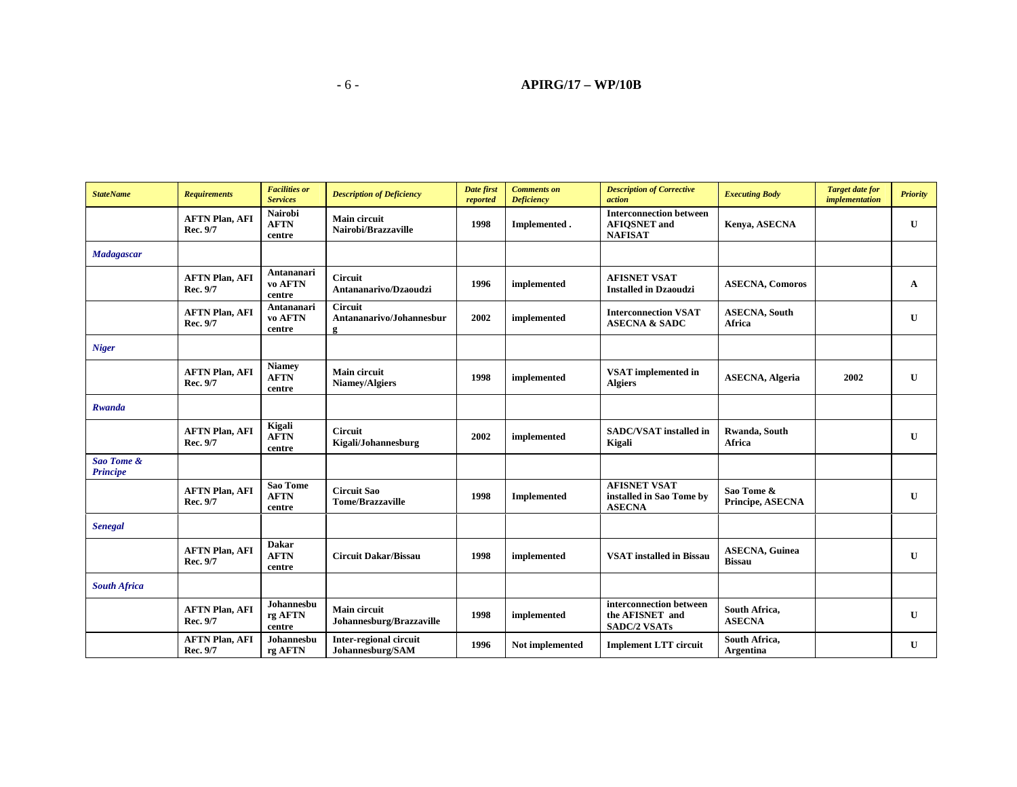| <b>StateName</b>              | <b>Requirements</b>               | <b>Facilities or</b><br><b>Services</b> | <b>Description of Deficiency</b>                | Date first<br>reported | <b>Comments</b> on<br><b>Deficiency</b> | <b>Description of Corrective</b><br>action                              | <b>Executing Body</b>                   | <b>Target date for</b><br><i>implementation</i> | <b>Priority</b> |
|-------------------------------|-----------------------------------|-----------------------------------------|-------------------------------------------------|------------------------|-----------------------------------------|-------------------------------------------------------------------------|-----------------------------------------|-------------------------------------------------|-----------------|
|                               | <b>AFTN Plan, AFI</b><br>Rec. 9/7 | <b>Nairobi</b><br><b>AFTN</b><br>centre | <b>Main circuit</b><br>Nairobi/Brazzaville      | 1998                   | Implemented.                            | <b>Interconnection between</b><br><b>AFIQSNET</b> and<br><b>NAFISAT</b> | Kenya, ASECNA                           |                                                 | U               |
| Madagascar                    |                                   |                                         |                                                 |                        |                                         |                                                                         |                                         |                                                 |                 |
|                               | <b>AFTN Plan, AFI</b><br>Rec. 9/7 | Antananari<br>vo AFTN<br>centre         | <b>Circuit</b><br>Antananarivo/Dzaoudzi         | 1996                   | implemented                             | <b>AFISNET VSAT</b><br><b>Installed in Dzaoudzi</b>                     | <b>ASECNA, Comoros</b>                  |                                                 | $\mathbf{A}$    |
|                               | <b>AFTN Plan, AFI</b><br>Rec. 9/7 | Antananari<br>vo AFTN<br>centre         | <b>Circuit</b><br>Antananarivo/Johannesbur<br>ջ | 2002                   | implemented                             | <b>Interconnection VSAT</b><br><b>ASECNA &amp; SADC</b>                 | <b>ASECNA</b> , South<br>Africa         |                                                 | $\mathbf{U}$    |
| <b>Niger</b>                  |                                   |                                         |                                                 |                        |                                         |                                                                         |                                         |                                                 |                 |
|                               | <b>AFTN Plan, AFI</b><br>Rec. 9/7 | <b>Niamey</b><br><b>AFTN</b><br>centre  | Main circuit<br>Niamey/Algiers                  | 1998                   | implemented                             | <b>VSAT</b> implemented in<br><b>Algiers</b>                            | <b>ASECNA</b> , Algeria                 | 2002                                            | U               |
| Rwanda                        |                                   |                                         |                                                 |                        |                                         |                                                                         |                                         |                                                 |                 |
|                               | <b>AFTN Plan, AFI</b><br>Rec. 9/7 | Kigali<br>${\bf AFTN}$<br>centre        | <b>Circuit</b><br>Kigali/Johannesburg           | 2002                   | implemented                             | <b>SADC/VSAT</b> installed in<br>Kigali                                 | Rwanda, South<br>Africa                 |                                                 | U               |
| Sao Tome &<br><b>Principe</b> |                                   |                                         |                                                 |                        |                                         |                                                                         |                                         |                                                 |                 |
|                               | <b>AFTN Plan, AFI</b><br>Rec. 9/7 | Sao Tome<br><b>AFTN</b><br>centre       | <b>Circuit Sao</b><br><b>Tome/Brazzaville</b>   | 1998                   | <b>Implemented</b>                      | <b>AFISNET VSAT</b><br>installed in Sao Tome by<br><b>ASECNA</b>        | Sao Tome &<br>Principe, ASECNA          |                                                 | $\mathbf{U}$    |
| <b>Senegal</b>                |                                   |                                         |                                                 |                        |                                         |                                                                         |                                         |                                                 |                 |
|                               | <b>AFTN Plan, AFI</b><br>Rec. 9/7 | <b>Dakar</b><br><b>AFTN</b><br>centre   | <b>Circuit Dakar/Bissau</b>                     | 1998                   | implemented                             | <b>VSAT</b> installed in Bissau                                         | <b>ASECNA</b> , Guinea<br><b>Bissau</b> |                                                 | U               |
| <b>South Africa</b>           |                                   |                                         |                                                 |                        |                                         |                                                                         |                                         |                                                 |                 |
|                               | <b>AFTN Plan, AFI</b><br>Rec. 9/7 | Johannesbu<br>rg AFTN<br>centre         | <b>Main circuit</b><br>Johannesburg/Brazzaville | 1998                   | implemented                             | interconnection between<br>the AFISNET and<br><b>SADC/2 VSATs</b>       | South Africa,<br><b>ASECNA</b>          |                                                 | $\mathbf{U}$    |
|                               | <b>AFTN Plan, AFI</b><br>Rec. 9/7 | Johannesbu<br>rg AFTN                   | Inter-regional circuit<br>Johannesburg/SAM      | 1996                   | Not implemented                         | <b>Implement LTT circuit</b>                                            | South Africa,<br>Argentina              |                                                 | U               |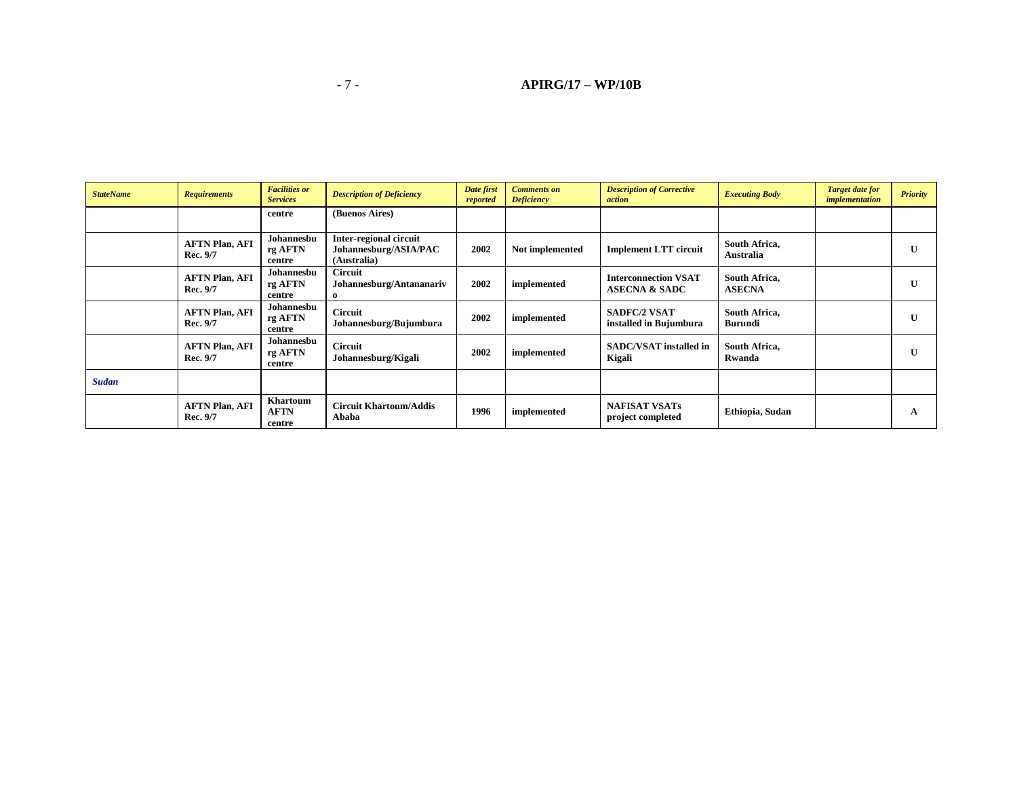| <b>StateName</b> | <b>Requirements</b>               | <b>Facilities or</b><br><b>Services</b>  | <b>Description of Deficiency</b>                               | Date first<br>reported | <b>Comments on</b><br><b>Deficiency</b> | <b>Description of Corrective</b><br>action              | <b>Executing Body</b>          | <b>Target date for</b><br>implementation | <b>Priority</b> |
|------------------|-----------------------------------|------------------------------------------|----------------------------------------------------------------|------------------------|-----------------------------------------|---------------------------------------------------------|--------------------------------|------------------------------------------|-----------------|
|                  |                                   | centre                                   | (Buenos Aires)                                                 |                        |                                         |                                                         |                                |                                          |                 |
|                  | <b>AFTN Plan, AFI</b><br>Rec. 9/7 | Johannesbu<br>rg AFTN<br>centre          | Inter-regional circuit<br>Johannesburg/ASIA/PAC<br>(Australia) | 2002                   | Not implemented                         | <b>Implement LTT circuit</b>                            | South Africa,<br>Australia     |                                          | $\mathbf{U}$    |
|                  | <b>AFTN Plan, AFI</b><br>Rec. 9/7 | Johannesbu<br>rg AFTN<br>centre          | <b>Circuit</b><br>Johannesburg/Antananariv                     | 2002                   | implemented                             | <b>Interconnection VSAT</b><br><b>ASECNA &amp; SADC</b> | South Africa,<br><b>ASECNA</b> |                                          | $\mathbf{U}$    |
|                  | <b>AFTN Plan, AFI</b><br>Rec. 9/7 | Johannesbu<br>rg AFTN<br>centre          | <b>Circuit</b><br>Johannesburg/Bujumbura                       | 2002                   | implemented                             | <b>SADFC/2 VSAT</b><br>installed in Bujumbura           | South Africa,<br>Burundi       |                                          | $\mathbf{U}$    |
|                  | <b>AFTN Plan, AFI</b><br>Rec. 9/7 | Johannesbu<br>rg AFTN<br>centre          | <b>Circuit</b><br>Johannesburg/Kigali                          | 2002                   | implemented                             | <b>SADC/VSAT</b> installed in<br>Kigali                 | South Africa,<br>Rwanda        |                                          | $\mathbf{U}$    |
| <b>Sudan</b>     |                                   |                                          |                                                                |                        |                                         |                                                         |                                |                                          |                 |
|                  | <b>AFTN Plan, AFI</b><br>Rec. 9/7 | <b>Khartoum</b><br><b>AFTN</b><br>centre | <b>Circuit Khartoum/Addis</b><br>Ababa                         | 1996                   | implemented                             | <b>NAFISAT VSATs</b><br>project completed               | Ethiopia, Sudan                |                                          | A               |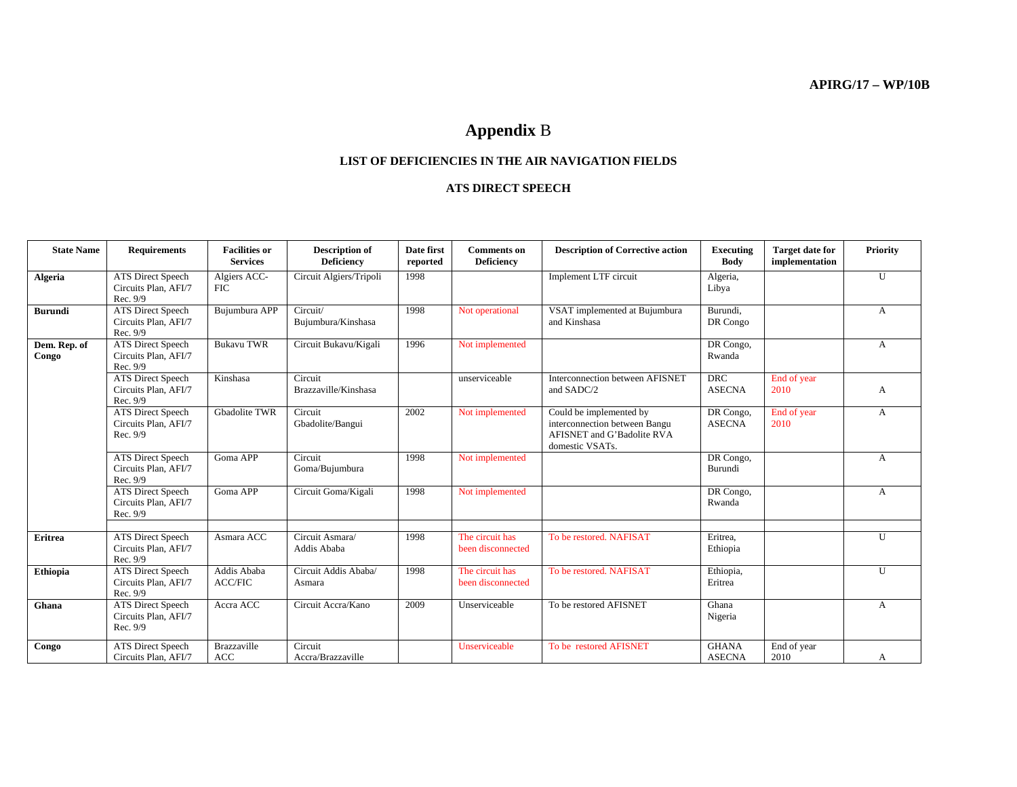# **Appendix** B

#### **LIST OF DEFICIENCIES IN THE AIR NAVIGATION FIELDS**

#### **ATS DIRECT SPEECH**

| <b>State Name</b>     | <b>Requirements</b>                                          | <b>Facilities or</b><br><b>Services</b> | <b>Description of</b><br>Deficiency | Date first<br>reported | <b>Comments</b> on<br><b>Deficiency</b> | <b>Description of Corrective action</b>                                                                   | <b>Executing</b><br><b>Body</b> | <b>Target date for</b><br>implementation | Priority       |
|-----------------------|--------------------------------------------------------------|-----------------------------------------|-------------------------------------|------------------------|-----------------------------------------|-----------------------------------------------------------------------------------------------------------|---------------------------------|------------------------------------------|----------------|
| Algeria               | <b>ATS Direct Speech</b><br>Circuits Plan, AFI/7<br>Rec. 9/9 | Algiers ACC-<br>FIC                     | Circuit Algiers/Tripoli             | 1998                   |                                         | Implement LTF circuit                                                                                     | Algeria,<br>Libya               |                                          | U              |
| <b>Burundi</b>        | <b>ATS Direct Speech</b><br>Circuits Plan, AFI/7<br>Rec. 9/9 | Bujumbura APP                           | Circuit/<br>Bujumbura/Kinshasa      | 1998                   | Not operational                         | VSAT implemented at Bujumbura<br>and Kinshasa                                                             | Burundi,<br>DR Congo            |                                          | A              |
| Dem. Rep. of<br>Congo | <b>ATS Direct Speech</b><br>Circuits Plan, AFI/7<br>Rec. 9/9 | <b>Bukavu TWR</b>                       | Circuit Bukavu/Kigali               | 1996                   | Not implemented                         |                                                                                                           | DR Congo,<br>Rwanda             |                                          | A              |
|                       | <b>ATS Direct Speech</b><br>Circuits Plan, AFI/7<br>Rec. 9/9 | Kinshasa                                | Circuit<br>Brazzaville/Kinshasa     |                        | unserviceable                           | Interconnection between AFISNET<br>and SADC/2                                                             | <b>DRC</b><br><b>ASECNA</b>     | End of year<br>2010                      | A              |
|                       | <b>ATS Direct Speech</b><br>Circuits Plan, AFI/7<br>Rec. 9/9 | Gbadolite TWR                           | Circuit<br>Gbadolite/Bangui         | 2002                   | Not implemented                         | Could be implemented by<br>interconnection between Bangu<br>AFISNET and G'Badolite RVA<br>domestic VSATs. | DR Congo,<br><b>ASECNA</b>      | End of year<br>2010                      | A              |
|                       | <b>ATS Direct Speech</b><br>Circuits Plan, AFI/7<br>Rec. 9/9 | Goma APP                                | Circuit<br>Goma/Bujumbura           | 1998                   | Not implemented                         |                                                                                                           | DR Congo,<br>Burundi            |                                          | $\overline{A}$ |
|                       | <b>ATS Direct Speech</b><br>Circuits Plan, AFI/7<br>Rec. 9/9 | Goma APP                                | Circuit Goma/Kigali                 | 1998                   | Not implemented                         |                                                                                                           | DR Congo,<br>Rwanda             |                                          | $\mathbf{A}$   |
| Eritrea               | <b>ATS Direct Speech</b>                                     | Asmara ACC                              | Circuit Asmara/                     | 1998                   | The circuit has                         | To be restored, NAFISAT                                                                                   | Eritrea,                        |                                          | $\mathbf{U}$   |
|                       | Circuits Plan, AFI/7<br>Rec. 9/9                             |                                         | Addis Ababa                         |                        | been disconnected                       |                                                                                                           | Ethiopia                        |                                          |                |
| <b>Ethiopia</b>       | <b>ATS Direct Speech</b><br>Circuits Plan, AFI/7<br>Rec. 9/9 | Addis Ababa<br><b>ACC/FIC</b>           | Circuit Addis Ababa/<br>Asmara      | 1998                   | The circuit has<br>been disconnected    | To be restored, NAFISAT                                                                                   | Ethiopia,<br>Eritrea            |                                          | U              |
| Ghana                 | <b>ATS Direct Speech</b><br>Circuits Plan, AFI/7<br>Rec. 9/9 | Accra ACC                               | Circuit Accra/Kano                  | 2009                   | Unserviceable                           | To be restored AFISNET                                                                                    | Ghana<br>Nigeria                |                                          | A              |
| Congo                 | <b>ATS Direct Speech</b><br>Circuits Plan. AFI/7             | Brazzaville<br>ACC                      | Circuit<br>Accra/Brazzaville        |                        | Unserviceable                           | To be restored AFISNET                                                                                    | <b>GHANA</b><br><b>ASECNA</b>   | End of year<br>2010                      | A              |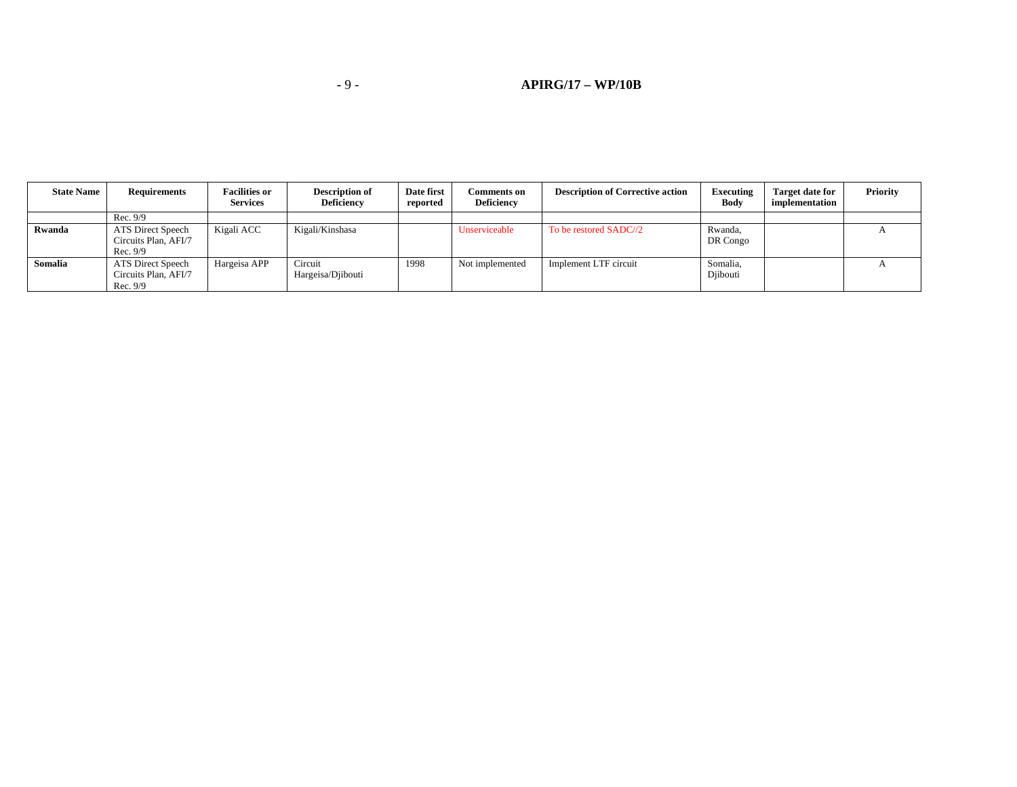#### **-** 9 - **APIRG/17 – WP/10B**

| <b>State Name</b> | <b>Requirements</b>                                   | <b>Facilities or</b><br><b>Services</b> | <b>Description of</b><br><b>Deficiency</b> | Date first<br>reported | <b>Comments on</b><br><b>Deficiency</b> | <b>Description of Corrective action</b> | Executing<br>Body    | <b>Target date for</b><br>implementation | Priority |
|-------------------|-------------------------------------------------------|-----------------------------------------|--------------------------------------------|------------------------|-----------------------------------------|-----------------------------------------|----------------------|------------------------------------------|----------|
|                   | Rec. 9/9                                              |                                         |                                            |                        |                                         |                                         |                      |                                          |          |
| Rwanda            | ATS Direct Speech<br>Circuits Plan, AFI/7<br>Rec. 9/9 | Kigali ACC                              | Kigali/Kinshasa                            |                        | Unserviceable                           | To be restored SADC//2                  | Rwanda.<br>DR Congo  |                                          |          |
| Somalia           | ATS Direct Speech<br>Circuits Plan, AFI/7<br>Rec. 9/9 | Hargeisa APP                            | Circuit<br>Hargeisa/Djibouti               | 1998                   | Not implemented                         | Implement LTF circuit                   | Somalia.<br>Diibouti |                                          |          |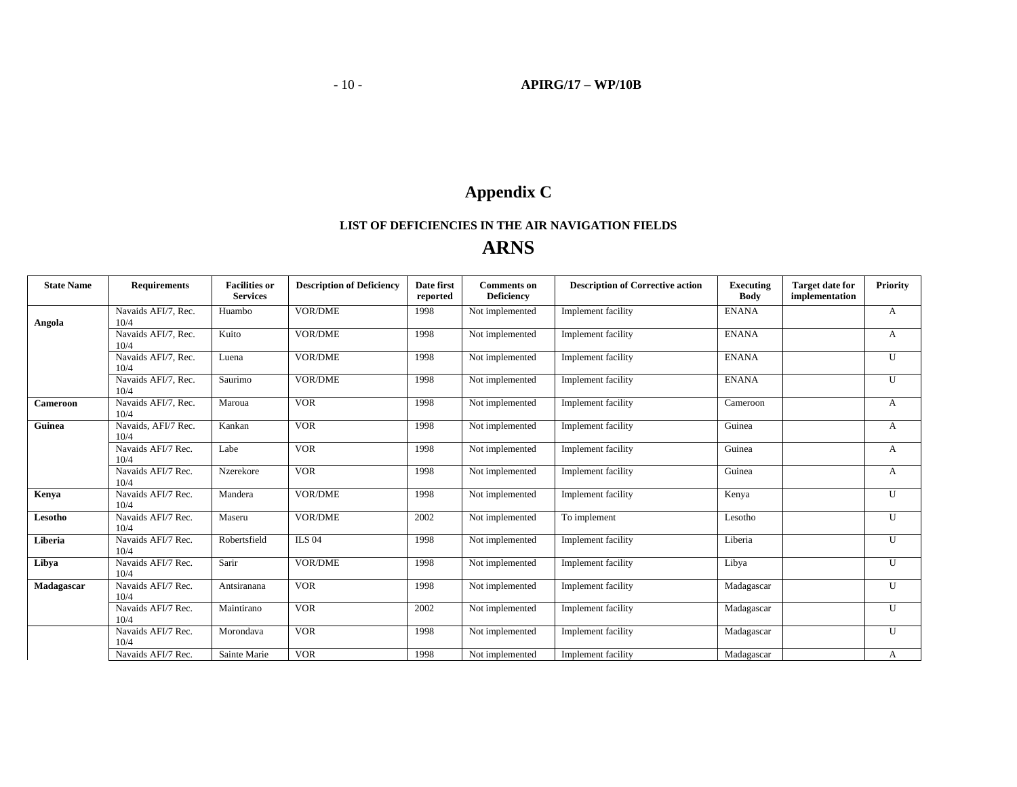# **Appendix C**

## **LIST OF DEFICIENCIES IN THE AIR NAVIGATION FIELDS ARNS**

| <b>State Name</b> | <b>Requirements</b>         | <b>Facilities or</b><br><b>Services</b> | <b>Description of Deficiency</b> | Date first<br>reported | <b>Comments</b> on<br><b>Deficiency</b> | <b>Description of Corrective action</b> | <b>Executing</b><br><b>Body</b> | <b>Target date for</b><br>implementation | Priority     |
|-------------------|-----------------------------|-----------------------------------------|----------------------------------|------------------------|-----------------------------------------|-----------------------------------------|---------------------------------|------------------------------------------|--------------|
| Angola            | Navaids AFI/7, Rec.<br>10/4 | Huambo                                  | <b>VOR/DME</b>                   | 1998                   | Not implemented                         | Implement facility                      | <b>ENANA</b>                    |                                          | A            |
|                   | Navaids AFI/7, Rec.<br>10/4 | Kuito                                   | <b>VOR/DME</b>                   | 1998                   | Not implemented                         | Implement facility                      | <b>ENANA</b>                    |                                          | A            |
|                   | Navaids AFI/7, Rec.<br>10/4 | Luena                                   | <b>VOR/DME</b>                   | 1998                   | Not implemented                         | Implement facility                      | <b>ENANA</b>                    |                                          | U            |
|                   | Navaids AFI/7, Rec.<br>10/4 | Saurimo                                 | <b>VOR/DME</b>                   | 1998                   | Not implemented                         | Implement facility                      | <b>ENANA</b>                    |                                          | U            |
| Cameroon          | Navaids AFI/7, Rec.<br>10/4 | Maroua                                  | <b>VOR</b>                       | 1998                   | Not implemented                         | Implement facility                      | Cameroon                        |                                          | A            |
| Guinea            | Navaids, AFI/7 Rec.<br>10/4 | Kankan                                  | <b>VOR</b>                       | 1998                   | Not implemented                         | Implement facility                      | Guinea                          |                                          | A            |
|                   | Navaids AFI/7 Rec.<br>10/4  | Labe                                    | <b>VOR</b>                       | 1998                   | Not implemented                         | Implement facility                      | Guinea                          |                                          | A            |
|                   | Navaids AFI/7 Rec.<br>10/4  | Nzerekore                               | <b>VOR</b>                       | 1998                   | Not implemented                         | Implement facility                      | Guinea                          |                                          | A            |
| Kenya             | Navaids AFI/7 Rec.<br>10/4  | Mandera                                 | <b>VOR/DME</b>                   | 1998                   | Not implemented                         | Implement facility                      | Kenya                           |                                          | U            |
| Lesotho           | Navaids AFI/7 Rec.<br>10/4  | Maseru                                  | <b>VOR/DME</b>                   | 2002                   | Not implemented                         | To implement                            | Lesotho                         |                                          | $\mathbf{U}$ |
| Liberia           | Navaids AFI/7 Rec.<br>10/4  | Robertsfield                            | <b>ILS 04</b>                    | 1998                   | Not implemented                         | Implement facility                      | Liberia                         |                                          | $\mathbf{U}$ |
| Libya             | Navaids AFI/7 Rec.<br>10/4  | Sarir                                   | <b>VOR/DME</b>                   | 1998                   | Not implemented                         | Implement facility                      | Libya                           |                                          | U            |
| Madagascar        | Navaids AFI/7 Rec.<br>10/4  | Antsiranana                             | <b>VOR</b>                       | 1998                   | Not implemented                         | Implement facility                      | Madagascar                      |                                          | $\mathbf{U}$ |
|                   | Navaids AFI/7 Rec.<br>10/4  | Maintirano                              | <b>VOR</b>                       | 2002                   | Not implemented                         | Implement facility                      | Madagascar                      |                                          | $\mathbf{U}$ |
|                   | Navaids AFI/7 Rec.<br>10/4  | Morondava                               | <b>VOR</b>                       | 1998                   | Not implemented                         | Implement facility                      | Madagascar                      |                                          | $\mathbf{U}$ |
|                   | Navaids AFI/7 Rec.          | Sainte Marie                            | <b>VOR</b>                       | 1998                   | Not implemented                         | Implement facility                      | Madagascar                      |                                          | A            |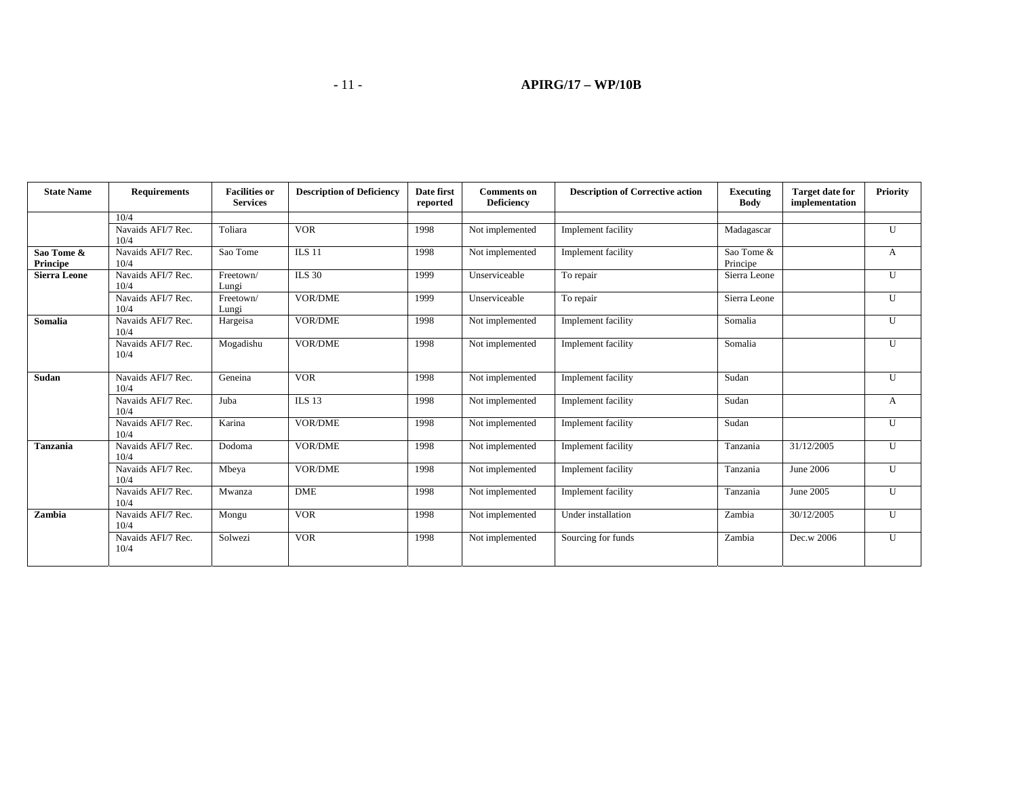### **-** 11 - **APIRG/17 – WP/10B**

| <b>State Name</b>      | <b>Requirements</b>        | <b>Facilities or</b><br><b>Services</b> | <b>Description of Deficiency</b> | Date first<br>reported | <b>Comments on</b><br><b>Deficiency</b> | <b>Description of Corrective action</b> | Executing<br><b>Body</b> | <b>Target date for</b><br>implementation | <b>Priority</b> |
|------------------------|----------------------------|-----------------------------------------|----------------------------------|------------------------|-----------------------------------------|-----------------------------------------|--------------------------|------------------------------------------|-----------------|
|                        | 10/4                       |                                         |                                  |                        |                                         |                                         |                          |                                          |                 |
|                        | Navaids AFI/7 Rec.<br>10/4 | Toliara                                 | <b>VOR</b>                       | 1998                   | Not implemented                         | Implement facility                      | Madagascar               |                                          | U               |
| Sao Tome &<br>Principe | Navaids AFI/7 Rec.<br>10/4 | Sao Tome                                | <b>ILS 11</b>                    | 1998                   | Not implemented                         | Implement facility                      | Sao Tome &<br>Principe   |                                          | A               |
| <b>Sierra Leone</b>    | Navaids AFI/7 Rec.<br>10/4 | Freetown/<br>Lungi                      | <b>ILS 30</b>                    | 1999                   | Unserviceable                           | To repair                               | Sierra Leone             |                                          | U               |
|                        | Navaids AFI/7 Rec.<br>10/4 | Freetown/<br>Lungi                      | <b>VOR/DME</b>                   | 1999                   | Unserviceable                           | To repair                               | Sierra Leone             |                                          | $\mathbf{U}$    |
| Somalia                | Navaids AFI/7 Rec.<br>10/4 | Hargeisa                                | VOR/DME                          | 1998                   | Not implemented                         | Implement facility                      | Somalia                  |                                          | U               |
|                        | Navaids AFI/7 Rec.<br>10/4 | Mogadishu                               | VOR/DME                          | 1998                   | Not implemented                         | Implement facility                      | Somalia                  |                                          | U               |
| Sudan                  | Navaids AFI/7 Rec.<br>10/4 | Geneina                                 | <b>VOR</b>                       | 1998                   | Not implemented                         | Implement facility                      | Sudan                    |                                          | U               |
|                        | Navaids AFI/7 Rec.<br>10/4 | Juba                                    | <b>ILS 13</b>                    | 1998                   | Not implemented                         | Implement facility                      | Sudan                    |                                          | A               |
|                        | Navaids AFI/7 Rec.<br>10/4 | Karina                                  | VOR/DME                          | 1998                   | Not implemented                         | Implement facility                      | Sudan                    |                                          | U               |
| Tanzania               | Navaids AFI/7 Rec.<br>10/4 | Dodoma                                  | VOR/DME                          | 1998                   | Not implemented                         | Implement facility                      | Tanzania                 | 31/12/2005                               | U               |
|                        | Navaids AFI/7 Rec.<br>10/4 | Mbeya                                   | <b>VOR/DME</b>                   | 1998                   | Not implemented                         | Implement facility                      | Tanzania                 | June 2006                                | U               |
|                        | Navaids AFI/7 Rec.<br>10/4 | Mwanza                                  | <b>DME</b>                       | 1998                   | Not implemented                         | Implement facility                      | Tanzania                 | June 2005                                | U               |
| Zambia                 | Navaids AFI/7 Rec.<br>10/4 | Mongu                                   | <b>VOR</b>                       | 1998                   | Not implemented                         | Under installation                      | Zambia                   | 30/12/2005                               | $\mathbf{I}$    |
|                        | Navaids AFI/7 Rec.<br>10/4 | Solwezi                                 | <b>VOR</b>                       | 1998                   | Not implemented                         | Sourcing for funds                      | Zambia                   | Dec.w 2006                               | U               |